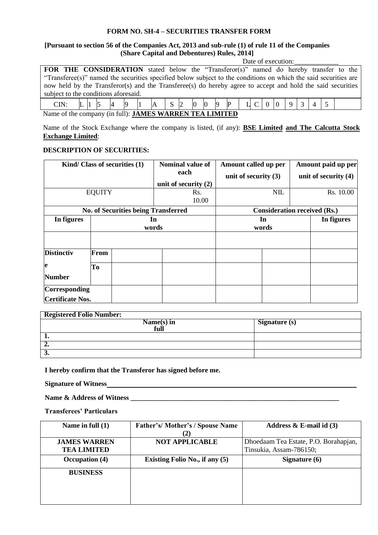# **FORM NO. SH-4 – SECURITIES TRANSFER FORM**

#### **[Pursuant to section 56 of the Companies Act, 2013 and sub-rule (1) of rule 11 of the Companies (Share Capital and Debentures) Rules, 2014]** Date of execution:

|                                                                                                                 |  |  |  |  |  |                                                                                |  |  |  |  |  |  | Dail VI CAUCHIOII. |  |  |  |
|-----------------------------------------------------------------------------------------------------------------|--|--|--|--|--|--------------------------------------------------------------------------------|--|--|--|--|--|--|--------------------|--|--|--|
| <b>FOR THE CONSIDERATION</b> stated below the "Transferor(s)" named do hereby transfer to the                   |  |  |  |  |  |                                                                                |  |  |  |  |  |  |                    |  |  |  |
| "Transferee(s)" named the securities specified below subject to the conditions on which the said securities are |  |  |  |  |  |                                                                                |  |  |  |  |  |  |                    |  |  |  |
| now held by the Transferor(s) and the Transferee(s) do hereby agree to accept and hold the said securities      |  |  |  |  |  |                                                                                |  |  |  |  |  |  |                    |  |  |  |
| subject to the conditions aforesaid.                                                                            |  |  |  |  |  |                                                                                |  |  |  |  |  |  |                    |  |  |  |
| CIN:                                                                                                            |  |  |  |  |  | $\mathbf{L}$  1  5  4  9  1  A   S  2  0  0  9  P   1  C   0  0  9   3   4   5 |  |  |  |  |  |  |                    |  |  |  |

Name of the company (in full): **JAMES WARREN TEA LIMITED**

Name of the Stock Exchange where the company is listed, (if any): **BSE Limited and The Calcutta Stock Exchange Limited**:

# **DESCRIPTION OF SECURITIES:**

|                         |               | Kind/ Class of securities (1)              | Nominal value of       | Amount called up per                |  | Amount paid up per     |            |  |  |
|-------------------------|---------------|--------------------------------------------|------------------------|-------------------------------------|--|------------------------|------------|--|--|
|                         |               |                                            | each                   | unit of security $(3)$              |  | unit of security $(4)$ |            |  |  |
|                         |               |                                            | unit of security $(2)$ |                                     |  |                        |            |  |  |
|                         | <b>EQUITY</b> |                                            | Rs.                    | NIL                                 |  |                        | Rs. 10.00  |  |  |
|                         |               |                                            | 10.00                  |                                     |  |                        |            |  |  |
|                         |               | <b>No. of Securities being Transferred</b> |                        | <b>Consideration received (Rs.)</b> |  |                        |            |  |  |
| In figures              |               |                                            | In                     | In                                  |  |                        | In figures |  |  |
|                         |               |                                            | words                  | words                               |  |                        |            |  |  |
|                         |               |                                            |                        |                                     |  |                        |            |  |  |
| <b>Distinctiv</b>       | From          |                                            |                        |                                     |  |                        |            |  |  |
| le                      | To            |                                            |                        |                                     |  |                        |            |  |  |
| <b>Number</b>           |               |                                            |                        |                                     |  |                        |            |  |  |
| Corresponding           |               |                                            |                        |                                     |  |                        |            |  |  |
| <b>Certificate Nos.</b> |               |                                            |                        |                                     |  |                        |            |  |  |

| <b>Registered Folio Number:</b> |               |
|---------------------------------|---------------|
| Name(s) in<br>full              | Signature (s) |
|                                 |               |
| "                               |               |
| J.                              |               |

**I hereby confirm that the Transferor has signed before me.**

**Signature of Witness**

**Name & Address of Witness \_\_\_\_\_\_\_\_\_\_\_\_\_\_\_\_\_\_\_\_\_\_\_\_\_\_\_\_\_\_\_\_\_\_\_\_\_\_\_\_\_\_\_\_\_\_\_\_\_\_\_\_\_\_\_\_\_\_\_\_\_\_**

**Transferees' Particulars**

| Name in full $(1)$  | <b>Father's/Mother's/Spouse Name</b>  | Address $\&$ E-mail id (3)            |
|---------------------|---------------------------------------|---------------------------------------|
|                     | (2)                                   |                                       |
| <b>JAMES WARREN</b> | <b>NOT APPLICABLE</b>                 | Dhoedaam Tea Estate, P.O. Borahapjan, |
| <b>TEA LIMITED</b>  |                                       | Tinsukia, Assam-786150;               |
| Occupation (4)      | <b>Existing Folio No., if any (5)</b> | Signature $(6)$                       |
| <b>BUSINESS</b>     |                                       |                                       |
|                     |                                       |                                       |
|                     |                                       |                                       |
|                     |                                       |                                       |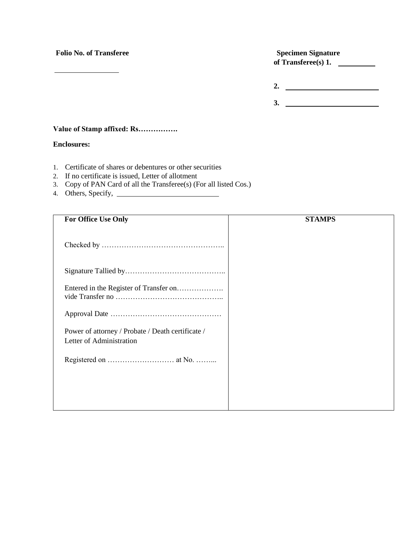# **Folio No. of Transferee Specimen Signature**

**of Transferee(s) 1.** 

**2. 3.** 

## **Value of Stamp affixed: Rs…………….**

### **Enclosures:**

- 1. Certificate of shares or debentures or other securities
- 2. If no certificate is issued, Letter of allotment
- 3. Copy of PAN Card of all the Transferee(s) (For all listed Cos.)
- 4. Others, Specify,

| <b>STAMPS</b> |
|---------------|
|               |
|               |
|               |
|               |
|               |
|               |
|               |
|               |
|               |